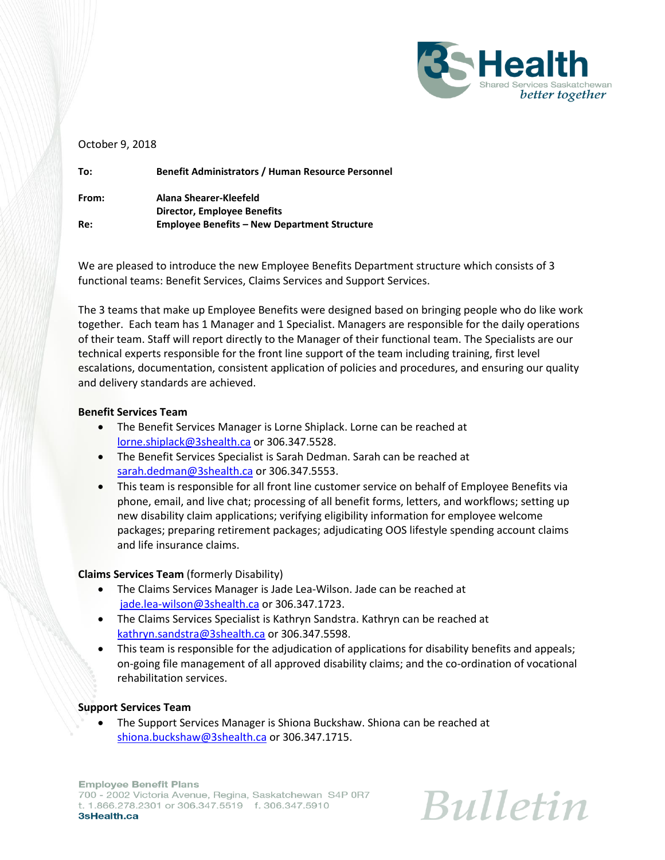

## October 9, 2018

**To: Benefit Administrators / Human Resource Personnel From: Alana Shearer-Kleefeld Director, Employee Benefits Re: Employee Benefits – New Department Structure**

We are pleased to introduce the new Employee Benefits Department structure which consists of 3 functional teams: Benefit Services, Claims Services and Support Services.

The 3 teams that make up Employee Benefits were designed based on bringing people who do like work together. Each team has 1 Manager and 1 Specialist. Managers are responsible for the daily operations of their team. Staff will report directly to the Manager of their functional team. The Specialists are our technical experts responsible for the front line support of the team including training, first level escalations, documentation, consistent application of policies and procedures, and ensuring our quality and delivery standards are achieved.

## **Benefit Services Team**

- The Benefit Services Manager is Lorne Shiplack. Lorne can be reached at [lorne.shiplack@3shealth.ca](mailto:lorne.shiplack@3shealth.ca) or 306.347.5528.
- The Benefit Services Specialist is Sarah Dedman. Sarah can be reached at [sarah.dedman@3shealth.ca](mailto:sarah.dedman@3shealth.ca) or 306.347.5553.
- This team is responsible for all front line customer service on behalf of Employee Benefits via phone, email, and live chat; processing of all benefit forms, letters, and workflows; setting up new disability claim applications; verifying eligibility information for employee welcome packages; preparing retirement packages; adjudicating OOS lifestyle spending account claims and life insurance claims.

## **Claims Services Team** (formerly Disability)

- The Claims Services Manager is Jade Lea-Wilson. Jade can be reached at [jade.lea-wilson@3shealth.ca](mailto:jade.lea-wilson@3shealth.ca) or 306.347.1723.
- The Claims Services Specialist is Kathryn Sandstra. Kathryn can be reached at [kathryn.sandstra@3shealth.ca](mailto:kathryn.sandstra@3shealth.ca) or 306.347.5598.
- This team is responsible for the adjudication of applications for disability benefits and appeals; on-going file management of all approved disability claims; and the co-ordination of vocational rehabilitation services.

## **Support Services Team**

 The Support Services Manager is Shiona Buckshaw. Shiona can be reached at [shiona.buckshaw@3shealth.ca](mailto:shiona.buckshaw@3shealth.ca) or 306.347.1715.